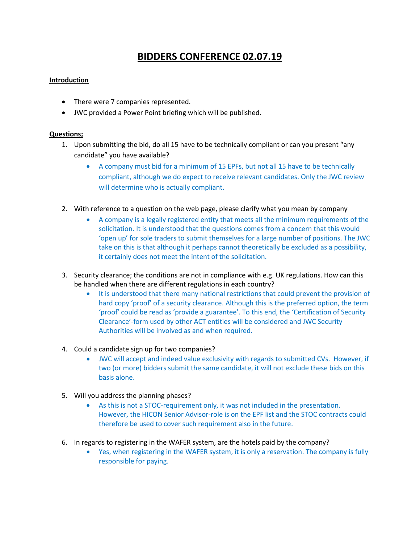## **BIDDERS CONFERENCE 02.07.19**

## **Introduction**

- There were 7 companies represented.
- JWC provided a Power Point briefing which will be published.

## **Questions;**

- 1. Upon submitting the bid, do all 15 have to be technically compliant or can you present "any candidate" you have available?
	- A company must bid for a minimum of 15 EPFs, but not all 15 have to be technically compliant, although we do expect to receive relevant candidates. Only the JWC review will determine who is actually compliant.
- 2. With reference to a question on the web page, please clarify what you mean by company
	- A company is a legally registered entity that meets all the minimum requirements of the solicitation. It is understood that the questions comes from a concern that this would 'open up' for sole traders to submit themselves for a large number of positions. The JWC take on this is that although it perhaps cannot theoretically be excluded as a possibility, it certainly does not meet the intent of the solicitation.
- 3. Security clearance; the conditions are not in compliance with e.g. UK regulations. How can this be handled when there are different regulations in each country?
	- It is understood that there many national restrictions that could prevent the provision of hard copy 'proof' of a security clearance. Although this is the preferred option, the term 'proof' could be read as 'provide a guarantee'. To this end, the 'Certification of Security Clearance'-form used by other ACT entities will be considered and JWC Security Authorities will be involved as and when required.
- 4. Could a candidate sign up for two companies?
	- JWC will accept and indeed value exclusivity with regards to submitted CVs. However, if two (or more) bidders submit the same candidate, it will not exclude these bids on this basis alone.
- 5. Will you address the planning phases?
	- As this is not a STOC-requirement only, it was not included in the presentation. However, the HICON Senior Advisor-role is on the EPF list and the STOC contracts could therefore be used to cover such requirement also in the future.
- 6. In regards to registering in the WAFER system, are the hotels paid by the company?
	- Yes, when registering in the WAFER system, it is only a reservation. The company is fully responsible for paying.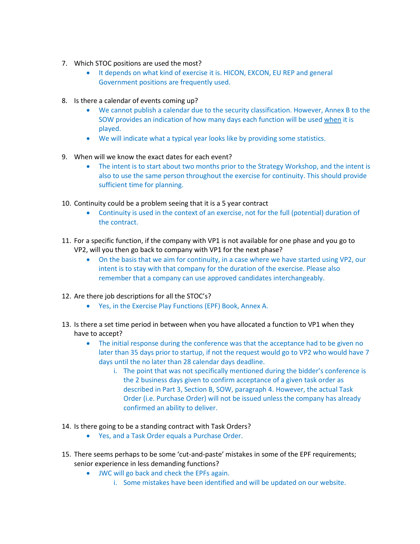- 7. Which STOC positions are used the most?
	- It depends on what kind of exercise it is. HICON, EXCON, EU REP and general Government positions are frequently used.
- 8. Is there a calendar of events coming up?
	- We cannot publish a calendar due to the security classification. However, Annex B to the SOW provides an indication of how many days each function will be used when it is played.
	- We will indicate what a typical year looks like by providing some statistics.
- 9. When will we know the exact dates for each event?
	- The intent is to start about two months prior to the Strategy Workshop, and the intent is also to use the same person throughout the exercise for continuity. This should provide sufficient time for planning.
- 10. Continuity could be a problem seeing that it is a 5 year contract
	- Continuity is used in the context of an exercise, not for the full (potential) duration of the contract.
- 11. For a specific function, if the company with VP1 is not available for one phase and you go to VP2, will you then go back to company with VP1 for the next phase?
	- On the basis that we aim for continuity, in a case where we have started using VP2, our intent is to stay with that company for the duration of the exercise. Please also remember that a company can use approved candidates interchangeably.
- 12. Are there job descriptions for all the STOC's?
	- Yes, in the Exercise Play Functions (EPF) Book, Annex A.
- 13. Is there a set time period in between when you have allocated a function to VP1 when they have to accept?
	- The initial response during the conference was that the acceptance had to be given no later than 35 days prior to startup, if not the request would go to VP2 who would have 7 days until the no later than 28 calendar days deadline.
		- i. The point that was not specifically mentioned during the bidder's conference is the 2 business days given to confirm acceptance of a given task order as described in Part 3, Section B, SOW, paragraph 4. However, the actual Task Order (i.e. Purchase Order) will not be issued unless the company has already confirmed an ability to deliver.
- 14. Is there going to be a standing contract with Task Orders?
	- Yes, and a Task Order equals a Purchase Order.
- 15. There seems perhaps to be some 'cut-and-paste' mistakes in some of the EPF requirements; senior experience in less demanding functions?
	- JWC will go back and check the EPFs again.
		- i. Some mistakes have been identified and will be updated on our website.